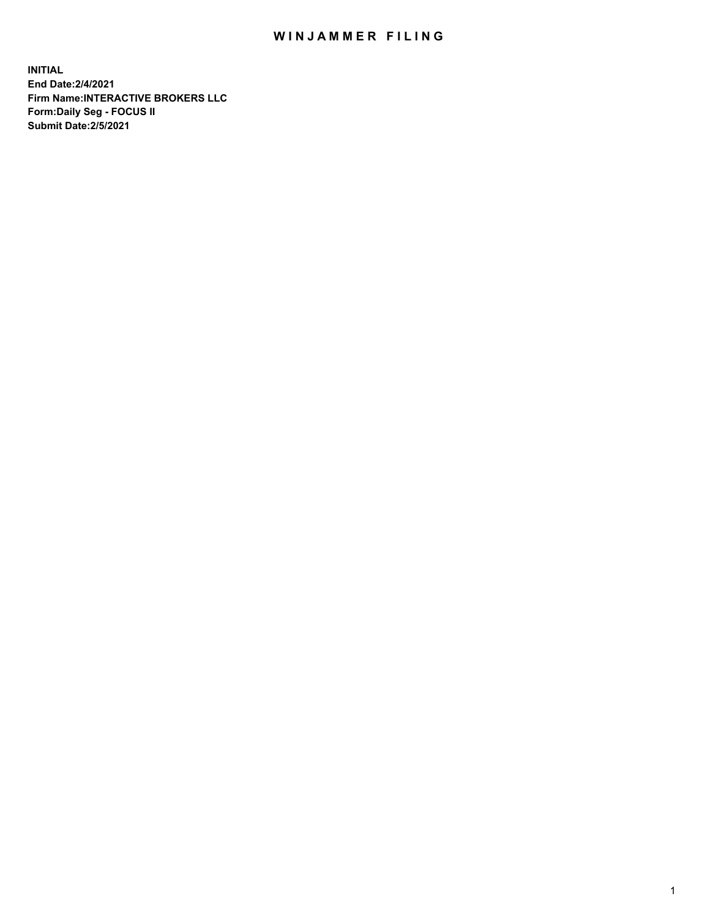## WIN JAMMER FILING

**INITIAL End Date:2/4/2021 Firm Name:INTERACTIVE BROKERS LLC Form:Daily Seg - FOCUS II Submit Date:2/5/2021**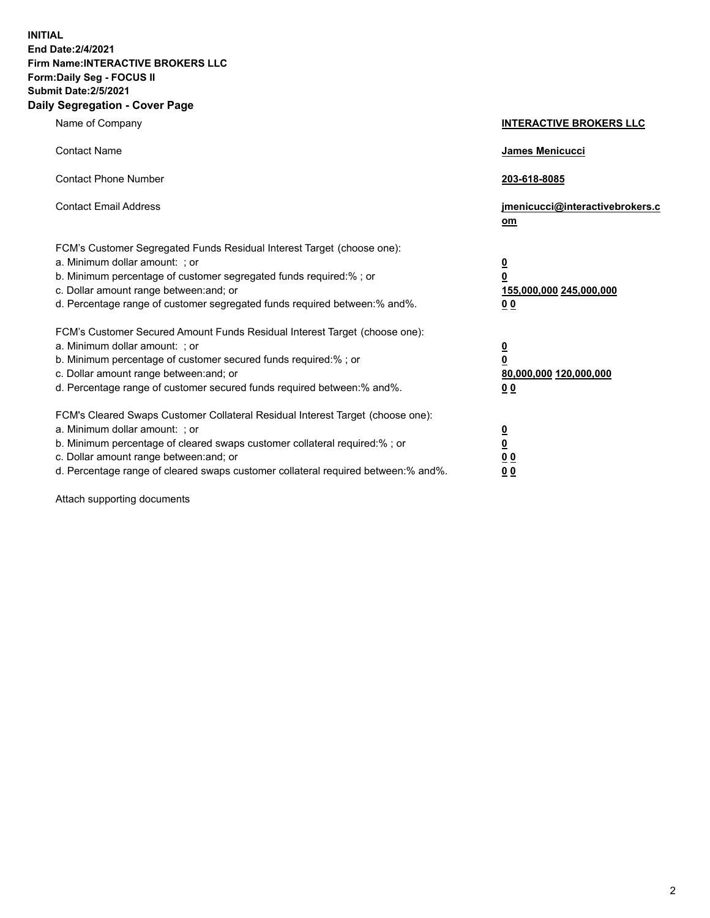**INITIAL End Date:2/4/2021 Firm Name:INTERACTIVE BROKERS LLC Form:Daily Seg - FOCUS II Submit Date:2/5/2021 Daily Segregation - Cover Page**

| Name of Company                                                                                                                                                                                                                                                                                                                | <b>INTERACTIVE BROKERS LLC</b>                                                                  |
|--------------------------------------------------------------------------------------------------------------------------------------------------------------------------------------------------------------------------------------------------------------------------------------------------------------------------------|-------------------------------------------------------------------------------------------------|
| <b>Contact Name</b>                                                                                                                                                                                                                                                                                                            | <b>James Menicucci</b>                                                                          |
| <b>Contact Phone Number</b>                                                                                                                                                                                                                                                                                                    | 203-618-8085                                                                                    |
| <b>Contact Email Address</b>                                                                                                                                                                                                                                                                                                   | jmenicucci@interactivebrokers.c<br>om                                                           |
| FCM's Customer Segregated Funds Residual Interest Target (choose one):<br>a. Minimum dollar amount: ; or<br>b. Minimum percentage of customer segregated funds required:%; or<br>c. Dollar amount range between: and; or<br>d. Percentage range of customer segregated funds required between:% and%.                          | $\overline{\mathbf{0}}$<br>$\overline{\mathbf{0}}$<br>155,000,000 245,000,000<br>0 <sub>0</sub> |
| FCM's Customer Secured Amount Funds Residual Interest Target (choose one):<br>a. Minimum dollar amount: ; or<br>b. Minimum percentage of customer secured funds required:%; or<br>c. Dollar amount range between: and; or<br>d. Percentage range of customer secured funds required between:% and%.                            | $\overline{\mathbf{0}}$<br>$\overline{\mathbf{0}}$<br>80,000,000 120,000,000<br>0 <sub>0</sub>  |
| FCM's Cleared Swaps Customer Collateral Residual Interest Target (choose one):<br>a. Minimum dollar amount: ; or<br>b. Minimum percentage of cleared swaps customer collateral required:% ; or<br>c. Dollar amount range between: and; or<br>d. Percentage range of cleared swaps customer collateral required between:% and%. | $\overline{\mathbf{0}}$<br>$\overline{\mathbf{0}}$<br>0 <sub>0</sub><br>0 <sub>0</sub>          |

Attach supporting documents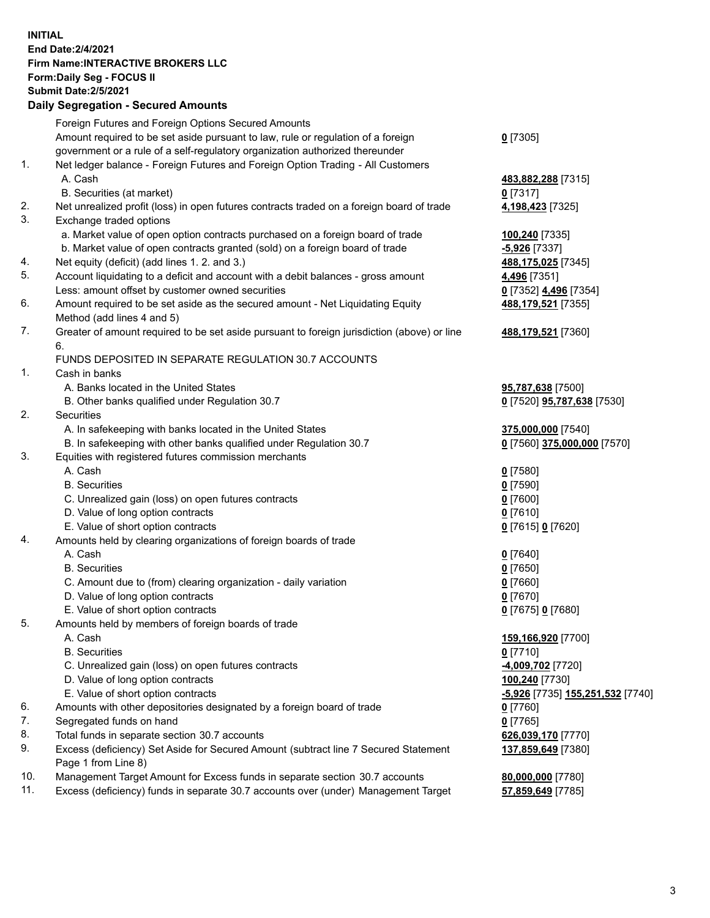## **INITIAL End Date:2/4/2021 Firm Name:INTERACTIVE BROKERS LLC Form:Daily Seg - FOCUS II Submit Date:2/5/2021 Daily Segregation - Secured Amounts**

|     | Pany Ocgregation - Oceanca Anioanic                                                                |                                               |
|-----|----------------------------------------------------------------------------------------------------|-----------------------------------------------|
|     | Foreign Futures and Foreign Options Secured Amounts                                                |                                               |
|     | Amount required to be set aside pursuant to law, rule or regulation of a foreign                   | $0$ [7305]                                    |
|     | government or a rule of a self-regulatory organization authorized thereunder                       |                                               |
| 1.  | Net ledger balance - Foreign Futures and Foreign Option Trading - All Customers                    |                                               |
|     | A. Cash                                                                                            | 483,882,288 [7315]                            |
|     | B. Securities (at market)                                                                          | $0$ [7317]                                    |
| 2.  | Net unrealized profit (loss) in open futures contracts traded on a foreign board of trade          | 4,198,423 [7325]                              |
| 3.  | Exchange traded options                                                                            |                                               |
|     | a. Market value of open option contracts purchased on a foreign board of trade                     | 100,240 <sup>[7335]</sup>                     |
|     | b. Market value of open contracts granted (sold) on a foreign board of trade                       | $-5,926$ [7337]                               |
| 4.  | Net equity (deficit) (add lines 1. 2. and 3.)                                                      | 488,175,025 [7345]                            |
| 5.  | Account liquidating to a deficit and account with a debit balances - gross amount                  | 4,496 [7351]                                  |
|     | Less: amount offset by customer owned securities                                                   | 0 [7352] 4,496 [7354]                         |
| 6.  | Amount required to be set aside as the secured amount - Net Liquidating Equity                     | 488,179,521 [7355]                            |
|     | Method (add lines 4 and 5)                                                                         |                                               |
| 7.  | Greater of amount required to be set aside pursuant to foreign jurisdiction (above) or line        | 488,179,521 [7360]                            |
|     | 6.                                                                                                 |                                               |
|     | FUNDS DEPOSITED IN SEPARATE REGULATION 30.7 ACCOUNTS                                               |                                               |
| 1.  | Cash in banks                                                                                      |                                               |
|     | A. Banks located in the United States                                                              | 95,787,638 [7500]                             |
|     | B. Other banks qualified under Regulation 30.7                                                     | 0 [7520] <b>95,787,638</b> [7530]             |
| 2.  | Securities                                                                                         |                                               |
|     | A. In safekeeping with banks located in the United States                                          | 375,000,000 [7540]                            |
|     | B. In safekeeping with other banks qualified under Regulation 30.7                                 | 0 [7560] 375,000,000 [7570]                   |
| 3.  | Equities with registered futures commission merchants                                              |                                               |
|     | A. Cash                                                                                            | $0$ [7580]                                    |
|     | <b>B.</b> Securities                                                                               | $0$ [7590]                                    |
|     | C. Unrealized gain (loss) on open futures contracts                                                | $0$ [7600]                                    |
|     | D. Value of long option contracts                                                                  | $0$ [7610]                                    |
|     | E. Value of short option contracts                                                                 | 0 [7615] 0 [7620]                             |
| 4.  | Amounts held by clearing organizations of foreign boards of trade                                  |                                               |
|     | A. Cash                                                                                            | $Q$ [7640]                                    |
|     | <b>B.</b> Securities                                                                               | $0$ [7650]                                    |
|     | C. Amount due to (from) clearing organization - daily variation                                    | $0$ [7660]                                    |
|     | D. Value of long option contracts                                                                  | $0$ [7670]                                    |
|     | E. Value of short option contracts                                                                 | 0 [7675] 0 [7680]                             |
| 5.  | Amounts held by members of foreign boards of trade                                                 |                                               |
|     | A. Cash                                                                                            | 159,166,920 [7700]                            |
|     | <b>B.</b> Securities                                                                               | $0$ [7710]                                    |
|     | C. Unrealized gain (loss) on open futures contracts                                                | -4,009,702 <sup>[7720]</sup>                  |
|     | D. Value of long option contracts                                                                  | 100,240 [7730]                                |
|     | E. Value of short option contracts                                                                 | <mark>-5,926</mark> [7735] 155,251,532 [7740] |
| 6.  | Amounts with other depositories designated by a foreign board of trade                             | 0 [7760]                                      |
| 7.  | Segregated funds on hand                                                                           | $0$ [7765]                                    |
| 8.  | Total funds in separate section 30.7 accounts                                                      | 626,039,170 [7770]                            |
| 9.  | Excess (deficiency) Set Aside for Secured Amount (subtract line 7 Secured Statement                | 137,859,649 [7380]                            |
| 10. | Page 1 from Line 8)<br>Management Target Amount for Excess funds in separate section 30.7 accounts |                                               |
| 11. | Excess (deficiency) funds in separate 30.7 accounts over (under) Management Target                 | 80,000,000 [7780]                             |
|     |                                                                                                    | 57,859,649 [7785]                             |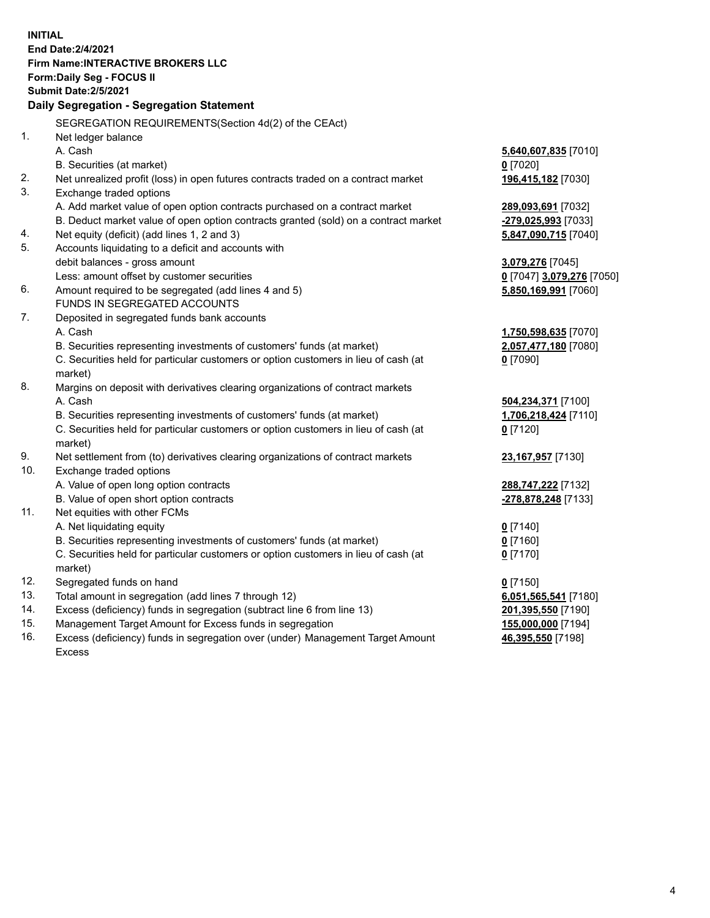**INITIAL End Date:2/4/2021 Firm Name:INTERACTIVE BROKERS LLC Form:Daily Seg - FOCUS II Submit Date:2/5/2021 Daily Segregation - Segregation Statement** SEGREGATION REQUIREMENTS(Section 4d(2) of the CEAct) 1. Net ledger balance A. Cash **5,640,607,835** [7010] B. Securities (at market) **0** [7020] 2. Net unrealized profit (loss) in open futures contracts traded on a contract market **196,415,182** [7030] 3. Exchange traded options A. Add market value of open option contracts purchased on a contract market **289,093,691** [7032] B. Deduct market value of open option contracts granted (sold) on a contract market **-279,025,993** [7033] 4. Net equity (deficit) (add lines 1, 2 and 3) **5,847,090,715** [7040] 5. Accounts liquidating to a deficit and accounts with debit balances - gross amount **3,079,276** [7045] Less: amount offset by customer securities **0** [7047] **3,079,276** [7050] 6. Amount required to be segregated (add lines 4 and 5) **5,850,169,991** [7060] FUNDS IN SEGREGATED ACCOUNTS 7. Deposited in segregated funds bank accounts A. Cash **1,750,598,635** [7070] B. Securities representing investments of customers' funds (at market) **2,057,477,180** [7080] C. Securities held for particular customers or option customers in lieu of cash (at market) **0** [7090] 8. Margins on deposit with derivatives clearing organizations of contract markets A. Cash **504,234,371** [7100] B. Securities representing investments of customers' funds (at market) **1,706,218,424** [7110] C. Securities held for particular customers or option customers in lieu of cash (at market) **0** [7120] 9. Net settlement from (to) derivatives clearing organizations of contract markets **23,167,957** [7130] 10. Exchange traded options A. Value of open long option contracts **288,747,222** [7132] B. Value of open short option contracts **-278,878,248** [7133] 11. Net equities with other FCMs A. Net liquidating equity **0** [7140] B. Securities representing investments of customers' funds (at market) **0** [7160] C. Securities held for particular customers or option customers in lieu of cash (at market) **0** [7170] 12. Segregated funds on hand **0** [7150] 13. Total amount in segregation (add lines 7 through 12) **6,051,565,541** [7180] 14. Excess (deficiency) funds in segregation (subtract line 6 from line 13) **201,395,550** [7190] 15. Management Target Amount for Excess funds in segregation **155,000,000** [7194] 16. Excess (deficiency) funds in segregation over (under) Management Target Amount **46,395,550** [7198]

Excess